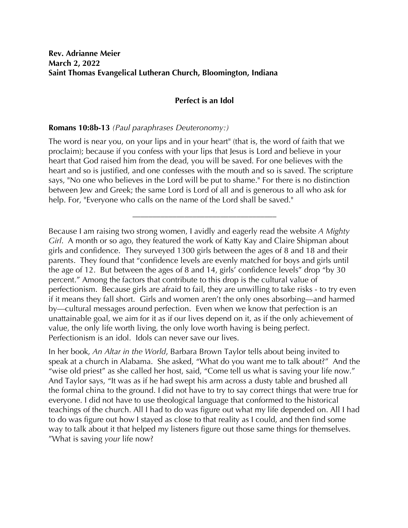## **Perfect is an Idol**

## **Romans 10:8b-13** *(Paul paraphrases Deuteronomy:)*

The word is near you, on your lips and in your heart" (that is, the word of faith that we proclaim); because if you confess with your lips that Jesus is Lord and believe in your heart that God raised him from the dead, you will be saved. For one believes with the heart and so is justified, and one confesses with the mouth and so is saved. The scripture says, "No one who believes in the Lord will be put to shame." For there is no distinction between Jew and Greek; the same Lord is Lord of all and is generous to all who ask for help. For, "Everyone who calls on the name of the Lord shall be saved."

\_\_\_\_\_\_\_\_\_\_\_\_\_\_\_\_\_\_\_\_\_\_\_\_\_\_\_\_\_\_\_\_\_\_\_\_

Because I am raising two strong women, I avidly and eagerly read the website *A Mighty Girl*. A month or so ago, they featured the work of Katty Kay and Claire Shipman about girls and confidence. They surveyed 1300 girls between the ages of 8 and 18 and their parents. They found that "confidence levels are evenly matched for boys and girls until the age of 12. But between the ages of 8 and 14, girls' confidence levels" drop "by 30 percent." Among the factors that contribute to this drop is the cultural value of perfectionism. Because girls are afraid to fail, they are unwilling to take risks - to try even if it means they fall short. Girls and women aren't the only ones absorbing—and harmed by—cultural messages around perfection. Even when we know that perfection is an unattainable goal, we aim for it as if our lives depend on it, as if the only achievement of value, the only life worth living, the only love worth having is being perfect. Perfectionism is an idol. Idols can never save our lives.

In her book, *An Altar in the World*, Barbara Brown Taylor tells about being invited to speak at a church in Alabama. She asked, "What do you want me to talk about?" And the "wise old priest" as she called her host, said, "Come tell us what is saving your life now." And Taylor says, "It was as if he had swept his arm across a dusty table and brushed all the formal china to the ground. I did not have to try to say correct things that were true for everyone. I did not have to use theological language that conformed to the historical teachings of the church. All I had to do was figure out what my life depended on. All I had to do was figure out how I stayed as close to that reality as I could, and then find some way to talk about it that helped my listeners figure out those same things for themselves. "What is saving *your* life now?